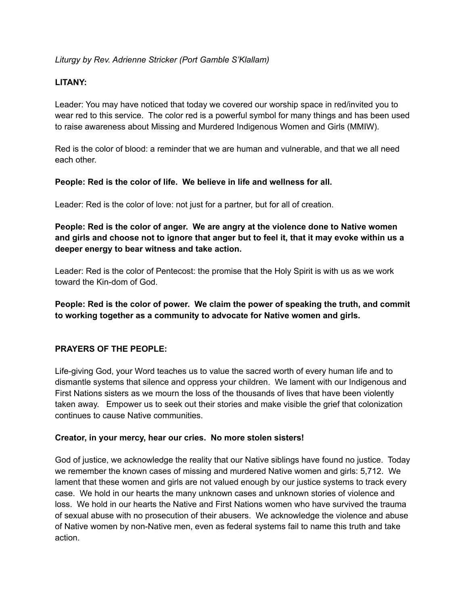# *Liturgy by Rev. Adrienne Stricker (Port Gamble S'Klallam)*

# **LITANY:**

Leader: You may have noticed that today we covered our worship space in red/invited you to wear red to this service. The color red is a powerful symbol for many things and has been used to raise awareness about Missing and Murdered Indigenous Women and Girls (MMIW).

Red is the color of blood: a reminder that we are human and vulnerable, and that we all need each other.

## **People: Red is the color of life. We believe in life and wellness for all.**

Leader: Red is the color of love: not just for a partner, but for all of creation.

**People: Red is the color of anger. We are angry at the violence done to Native women** and girls and choose not to ignore that anger but to feel it, that it may evoke within us a **deeper energy to bear witness and take action.**

Leader: Red is the color of Pentecost: the promise that the Holy Spirit is with us as we work toward the Kin-dom of God.

**People: Red is the color of power. We claim the power of speaking the truth, and commit to working together as a community to advocate for Native women and girls.**

## **PRAYERS OF THE PEOPLE:**

Life-giving God, your Word teaches us to value the sacred worth of every human life and to dismantle systems that silence and oppress your children. We lament with our Indigenous and First Nations sisters as we mourn the loss of the thousands of lives that have been violently taken away. Empower us to seek out their stories and make visible the grief that colonization continues to cause Native communities.

#### **Creator, in your mercy, hear our cries. No more stolen sisters!**

God of justice, we acknowledge the reality that our Native siblings have found no justice. Today we remember the known cases of missing and murdered Native women and girls: 5,712. We lament that these women and girls are not valued enough by our justice systems to track every case. We hold in our hearts the many unknown cases and unknown stories of violence and loss. We hold in our hearts the Native and First Nations women who have survived the trauma of sexual abuse with no prosecution of their abusers. We acknowledge the violence and abuse of Native women by non-Native men, even as federal systems fail to name this truth and take action.